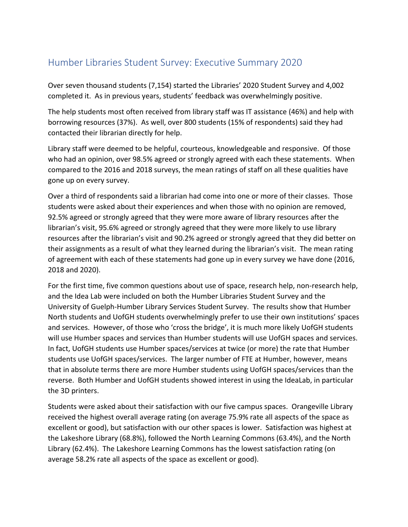## Humber Libraries Student Survey: Executive Summary 2020

Over seven thousand students (7,154) started the Libraries' 2020 Student Survey and 4,002 completed it. As in previous years, students' feedback was overwhelmingly positive.

The help students most often received from library staff was IT assistance (46%) and help with borrowing resources (37%). As well, over 800 students (15% of respondents) said they had contacted their librarian directly for help.

Library staff were deemed to be helpful, courteous, knowledgeable and responsive. Of those who had an opinion, over 98.5% agreed or strongly agreed with each these statements. When compared to the 2016 and 2018 surveys, the mean ratings of staff on all these qualities have gone up on every survey.

Over a third of respondents said a librarian had come into one or more of their classes. Those students were asked about their experiences and when those with no opinion are removed, 92.5% agreed or strongly agreed that they were more aware of library resources after the librarian's visit, 95.6% agreed or strongly agreed that they were more likely to use library resources after the librarian's visit and 90.2% agreed or strongly agreed that they did better on their assignments as a result of what they learned during the librarian's visit. The mean rating of agreement with each of these statements had gone up in every survey we have done (2016, 2018 and 2020).

For the first time, five common questions about use of space, research help, non-research help, and the Idea Lab were included on both the Humber Libraries Student Survey and the University of Guelph-Humber Library Services Student Survey. The results show that Humber North students and UofGH students overwhelmingly prefer to use their own institutions' spaces and services. However, of those who 'cross the bridge', it is much more likely UofGH students will use Humber spaces and services than Humber students will use UofGH spaces and services. In fact, UofGH students use Humber spaces/services at twice (or more) the rate that Humber students use UofGH spaces/services. The larger number of FTE at Humber, however, means that in absolute terms there are more Humber students using UofGH spaces/services than the reverse. Both Humber and UofGH students showed interest in using the IdeaLab, in particular the 3D printers.

Students were asked about their satisfaction with our five campus spaces. Orangeville Library received the highest overall average rating (on average 75.9% rate all aspects of the space as excellent or good), but satisfaction with our other spaces is lower. Satisfaction was highest at the Lakeshore Library (68.8%), followed the North Learning Commons (63.4%), and the North Library (62.4%). The Lakeshore Learning Commons has the lowest satisfaction rating (on average 58.2% rate all aspects of the space as excellent or good).